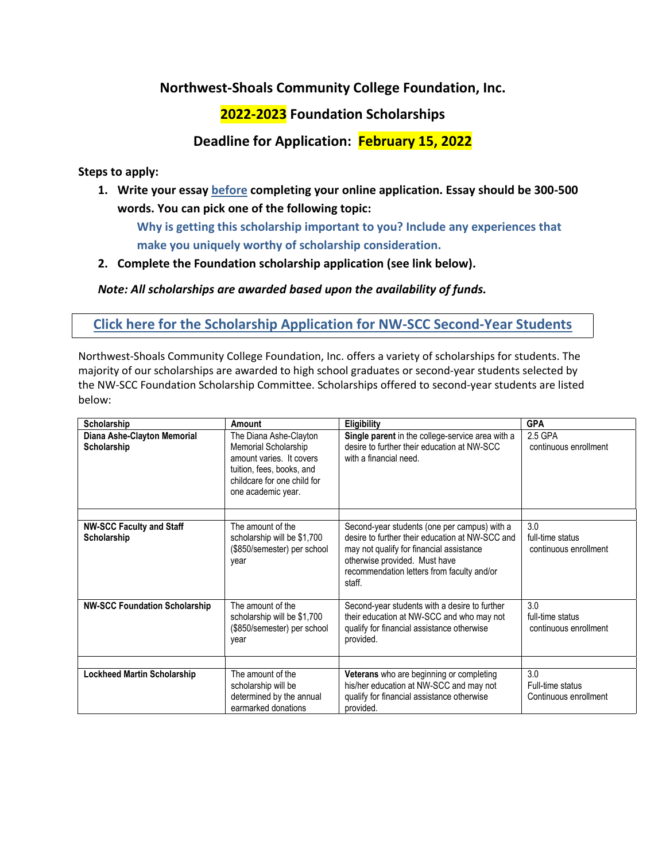## **Northwest-Shoals Community College Foundation, Inc.**

## **2022-2023 Foundation Scholarships**

## **Deadline for Application: February 15, 2022**

**Steps to apply:**

**1. Write your essay before completing your online application. Essay should be 300-500 words. You can pick one of the following topic:**

**Why is getting this scholarship important to you? Include any experiences that make you uniquely worthy of scholarship consideration.**

**2. Complete the Foundation scholarship application (see link below).**

*Note: All scholarships are awarded based upon the availability of funds.*

## **Click here for the Scholarship Application for NW-SCC Second-Year Students**

Northwest-Shoals Community College Foundation, Inc. offers a variety of scholarships for students. The majority of our scholarships are awarded to high school graduates or second-year students selected by the NW-SCC Foundation Scholarship Committee. Scholarships offered to second-year students are listed below:

| Scholarship                                    | Amount                                                                                                                                                       | <b>Eligibility</b>                                                                                                                                                                                                                   | <b>GPA</b>                                       |
|------------------------------------------------|--------------------------------------------------------------------------------------------------------------------------------------------------------------|--------------------------------------------------------------------------------------------------------------------------------------------------------------------------------------------------------------------------------------|--------------------------------------------------|
| Diana Ashe-Clayton Memorial<br>Scholarship     | The Diana Ashe-Clayton<br>Memorial Scholarship<br>amount varies. It covers<br>tuition, fees, books, and<br>childcare for one child for<br>one academic year. | Single parent in the college-service area with a<br>desire to further their education at NW-SCC<br>with a financial need.                                                                                                            | 2.5 GPA<br>continuous enrollment                 |
| <b>NW-SCC Faculty and Staff</b><br>Scholarship | The amount of the<br>scholarship will be \$1,700<br>(\$850/semester) per school<br>year                                                                      | Second-year students (one per campus) with a<br>desire to further their education at NW-SCC and<br>may not qualify for financial assistance<br>otherwise provided. Must have<br>recommendation letters from faculty and/or<br>staff. | 3.0<br>full-time status<br>continuous enrollment |
| <b>NW-SCC Foundation Scholarship</b>           | The amount of the<br>scholarship will be \$1,700<br>(\$850/semester) per school<br>year                                                                      | Second-year students with a desire to further<br>their education at NW-SCC and who may not<br>qualify for financial assistance otherwise<br>provided.                                                                                | 3.0<br>full-time status<br>continuous enrollment |
| <b>Lockheed Martin Scholarship</b>             | The amount of the<br>scholarship will be<br>determined by the annual<br>earmarked donations                                                                  | Veterans who are beginning or completing<br>his/her education at NW-SCC and may not<br>qualify for financial assistance otherwise<br>provided.                                                                                       | 3.0<br>Full-time status<br>Continuous enrollment |